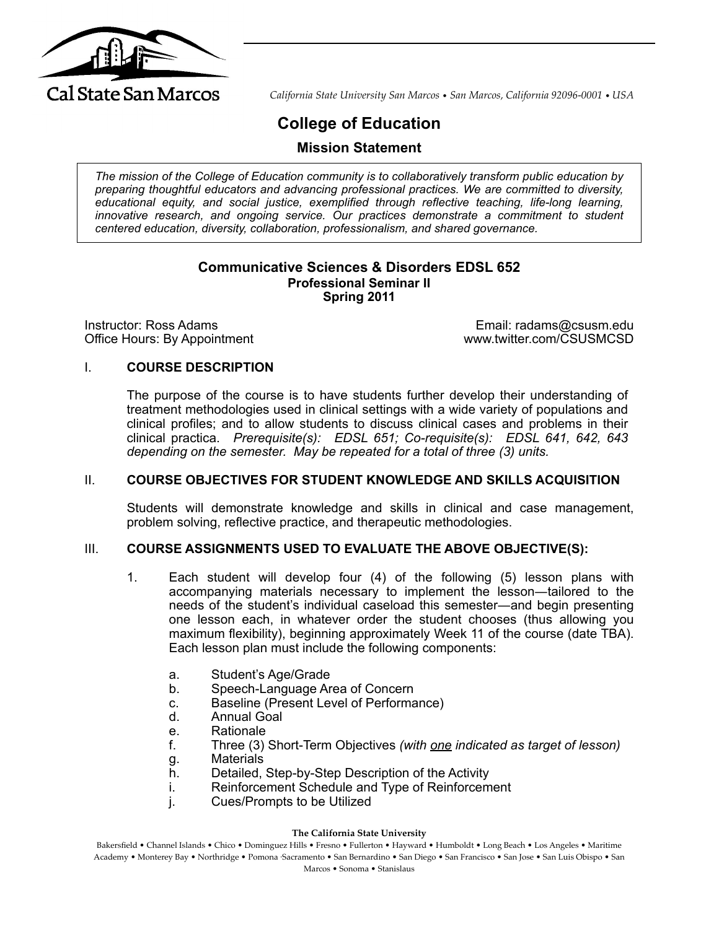

*California State University San Marcos* • *San Marcos, California 92096-0001* • *USA*

# **College of Education**

**Mission Statement**

*The mission of the College of Education community is to collaboratively transform public education by preparing thoughtful educators and advancing professional practices. We are committed to diversity, educational equity, and social justice, exemplified through reflective teaching, life-long learning,*  innovative research, and ongoing service. Our practices demonstrate a commitment to student *centered education, diversity, collaboration, professionalism, and shared governance.*

## **Communicative Sciences & Disorders EDSL 652 Professional Seminar II Spring 2011**

Instructor: Ross Adams Email: radams@csusm.edu Office Hours: By Appointment www.twitter.com/CSUSMCSD

## I. **COURSE DESCRIPTION**

The purpose of the course is to have students further develop their understanding of treatment methodologies used in clinical settings with a wide variety of populations and clinical profiles; and to allow students to discuss clinical cases and problems in their clinical practica. *Prerequisite(s): EDSL 651; Co-requisite(s): EDSL 641, 642, 643 depending on the semester. May be repeated for a total of three (3) units.*

## II. **COURSE OBJECTIVES FOR STUDENT KNOWLEDGE AND SKILLS ACQUISITION**

Students will demonstrate knowledge and skills in clinical and case management, problem solving, reflective practice, and therapeutic methodologies.

## III. **COURSE ASSIGNMENTS USED TO EVALUATE THE ABOVE OBJECTIVE(S):**

- 1. Each student will develop four (4) of the following (5) lesson plans with accompanying materials necessary to implement the lesson―tailored to the needs of the student's individual caseload this semester―and begin presenting one lesson each, in whatever order the student chooses (thus allowing you maximum flexibility), beginning approximately Week 11 of the course (date TBA). Each lesson plan must include the following components:
	- a. Student's Age/Grade
	- b. Speech-Language Area of Concern
	- c. Baseline (Present Level of Performance)
	- d. Annual Goal
	- e. Rationale
	- f. Three (3) Short-Term Objectives *(with one indicated as target of lesson)*
	- g. Materials
	- h. Detailed, Step-by-Step Description of the Activity
	- i. Reinforcement Schedule and Type of Reinforcement
	- j. Cues/Prompts to be Utilized

#### **The California State University**

Bakersfield • Channel Islands • Chico • Dominguez Hills • Fresno • Fullerton • Hayward • Humboldt • Long Beach • Los Angeles • Maritime Academy • Monterey Bay • Northridge • Pomona ⋅Sacramento • San Bernardino • San Diego • San Francisco • San Jose • San Luis Obispo • San Marcos • Sonoma • Stanislaus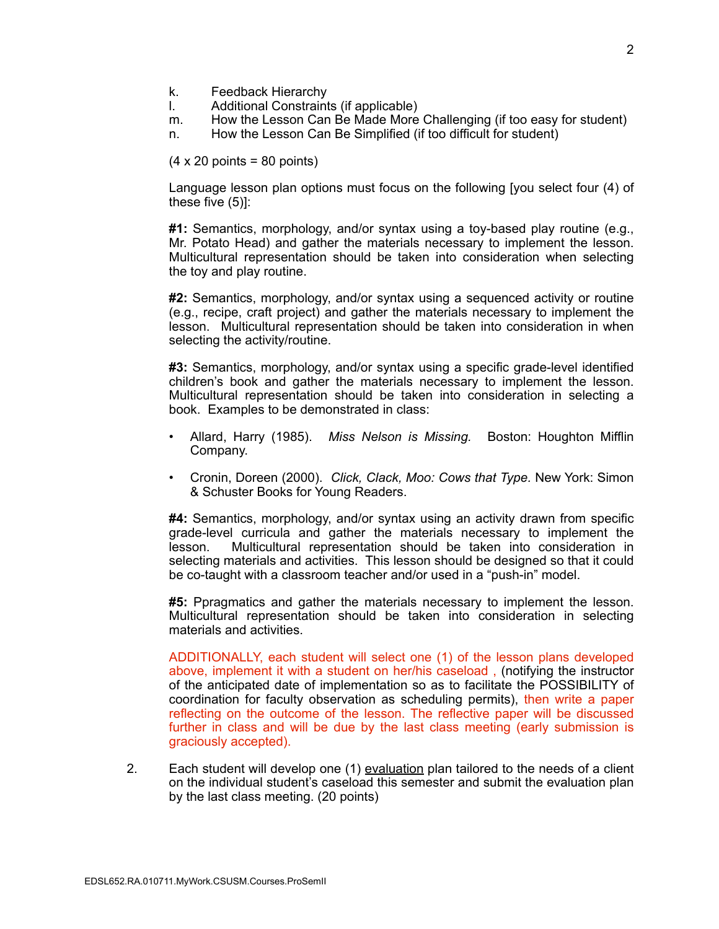- k. Feedback Hierarchy
- l. Additional Constraints (if applicable)
- m. How the Lesson Can Be Made More Challenging (if too easy for student)
- n. How the Lesson Can Be Simplified (if too difficult for student)

 $(4 \times 20 \text{ points} = 80 \text{ points})$ 

Language lesson plan options must focus on the following [you select four (4) of these five (5)]:

**#1:** Semantics, morphology, and/or syntax using a toy-based play routine (e.g., Mr. Potato Head) and gather the materials necessary to implement the lesson. Multicultural representation should be taken into consideration when selecting the toy and play routine.

**#2:** Semantics, morphology, and/or syntax using a sequenced activity or routine (e.g., recipe, craft project) and gather the materials necessary to implement the lesson. Multicultural representation should be taken into consideration in when selecting the activity/routine.

**#3:** Semantics, morphology, and/or syntax using a specific grade-level identified children's book and gather the materials necessary to implement the lesson. Multicultural representation should be taken into consideration in selecting a book. Examples to be demonstrated in class:

- Allard, Harry (1985). *Miss Nelson is Missing.* Boston: Houghton Mifflin Company.
- Cronin, Doreen (2000). *Click, Clack, Moo: Cows that Type.* New York: Simon & Schuster Books for Young Readers.

**#4:** Semantics, morphology, and/or syntax using an activity drawn from specific grade-level curricula and gather the materials necessary to implement the lesson. Multicultural representation should be taken into consideration in selecting materials and activities. This lesson should be designed so that it could be co-taught with a classroom teacher and/or used in a "push-in" model.

**#5:** Ppragmatics and gather the materials necessary to implement the lesson. Multicultural representation should be taken into consideration in selecting materials and activities.

ADDITIONALLY, each student will select one (1) of the lesson plans developed above, implement it with a student on her/his caseload , (notifying the instructor of the anticipated date of implementation so as to facilitate the POSSIBILITY of coordination for faculty observation as scheduling permits), then write a paper reflecting on the outcome of the lesson. The reflective paper will be discussed further in class and will be due by the last class meeting (early submission is graciously accepted).

2. Each student will develop one (1) evaluation plan tailored to the needs of a client on the individual student's caseload this semester and submit the evaluation plan by the last class meeting. (20 points)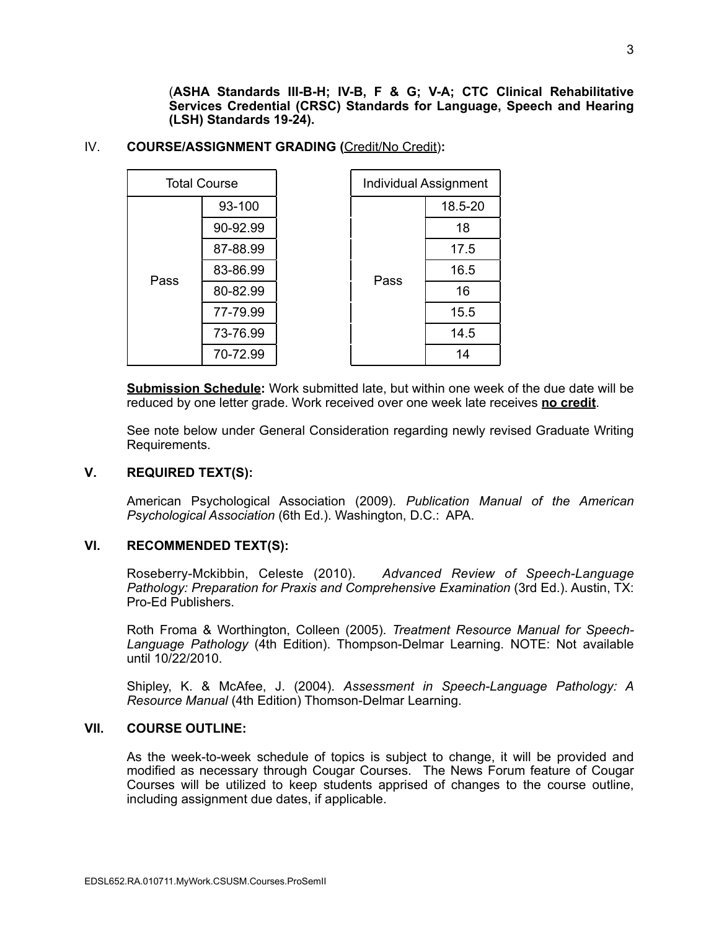(**ASHA Standards III-B-H; IV-B, F & G; V-A; CTC Clinical Rehabilitative Services Credential (CRSC) Standards for Language, Speech and Hearing (LSH) Standards 19-24).** 

#### IV. **COURSE/ASSIGNMENT GRADING (**Credit/No Credit)**:**

| <b>Total Course</b> |          |      | <b>Individual Assignment</b> |
|---------------------|----------|------|------------------------------|
| Pass                | 93-100   | Pass | 18.5-20                      |
|                     | 90-92.99 |      | 18                           |
|                     | 87-88.99 |      | 17.5                         |
|                     | 83-86.99 |      | 16.5                         |
|                     | 80-82.99 |      | 16                           |
|                     | 77-79.99 |      | 15.5                         |
|                     | 73-76.99 |      | 14.5                         |
|                     | 70-72.99 |      | 14                           |

**Submission Schedule:** Work submitted late, but within one week of the due date will be reduced by one letter grade. Work received over one week late receives **no credit**.

See note below under General Consideration regarding newly revised Graduate Writing Requirements.

## **V. REQUIRED TEXT(S):**

American Psychological Association (2009). *Publication Manual of the American Psychological Association* (6th Ed.). Washington, D.C.: APA.

# **VI. RECOMMENDED TEXT(S):**

Roseberry-Mckibbin, Celeste (2010). *Advanced Review of Speech-Language Pathology: Preparation for Praxis and Comprehensive Examination* (3rd Ed.). Austin, TX: Pro-Ed Publishers.

Roth Froma & Worthington, Colleen (2005). *Treatment Resource Manual for Speech-Language Pathology* (4th Edition). Thompson-Delmar Learning. NOTE: Not available until 10/22/2010.

Shipley, K. & McAfee, J. (2004). *Assessment in Speech-Language Pathology: A Resource Manual* (4th Edition) Thomson-Delmar Learning.

#### **VII. COURSE OUTLINE:**

As the week-to-week schedule of topics is subject to change, it will be provided and modified as necessary through Cougar Courses. The News Forum feature of Cougar Courses will be utilized to keep students apprised of changes to the course outline, including assignment due dates, if applicable.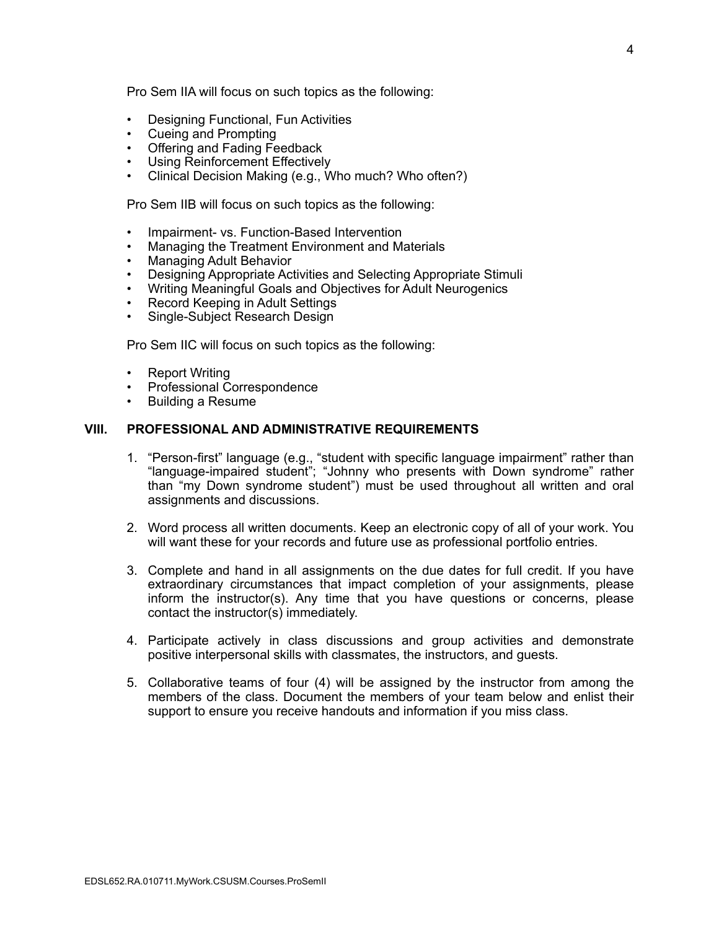Pro Sem IIA will focus on such topics as the following:

- Designing Functional, Fun Activities
- Cueing and Prompting
- Offering and Fading Feedback
- Using Reinforcement Effectively
- Clinical Decision Making (e.g., Who much? Who often?)

Pro Sem IIB will focus on such topics as the following:

- Impairment- vs. Function-Based Intervention
- Managing the Treatment Environment and Materials
- Managing Adult Behavior
- Designing Appropriate Activities and Selecting Appropriate Stimuli
- Writing Meaningful Goals and Objectives for Adult Neurogenics
- Record Keeping in Adult Settings
- Single-Subject Research Design

Pro Sem IIC will focus on such topics as the following:

- Report Writing
- Professional Correspondence
- Building a Resume

#### **VIII. PROFESSIONAL AND ADMINISTRATIVE REQUIREMENTS**

- 1. "Person-first" language (e.g., "student with specific language impairment" rather than "language-impaired student"; "Johnny who presents with Down syndrome" rather than "my Down syndrome student") must be used throughout all written and oral assignments and discussions.
- 2. Word process all written documents. Keep an electronic copy of all of your work. You will want these for your records and future use as professional portfolio entries.
- 3. Complete and hand in all assignments on the due dates for full credit. If you have extraordinary circumstances that impact completion of your assignments, please inform the instructor(s). Any time that you have questions or concerns, please contact the instructor(s) immediately.
- 4. Participate actively in class discussions and group activities and demonstrate positive interpersonal skills with classmates, the instructors, and guests.
- 5. Collaborative teams of four (4) will be assigned by the instructor from among the members of the class. Document the members of your team below and enlist their support to ensure you receive handouts and information if you miss class.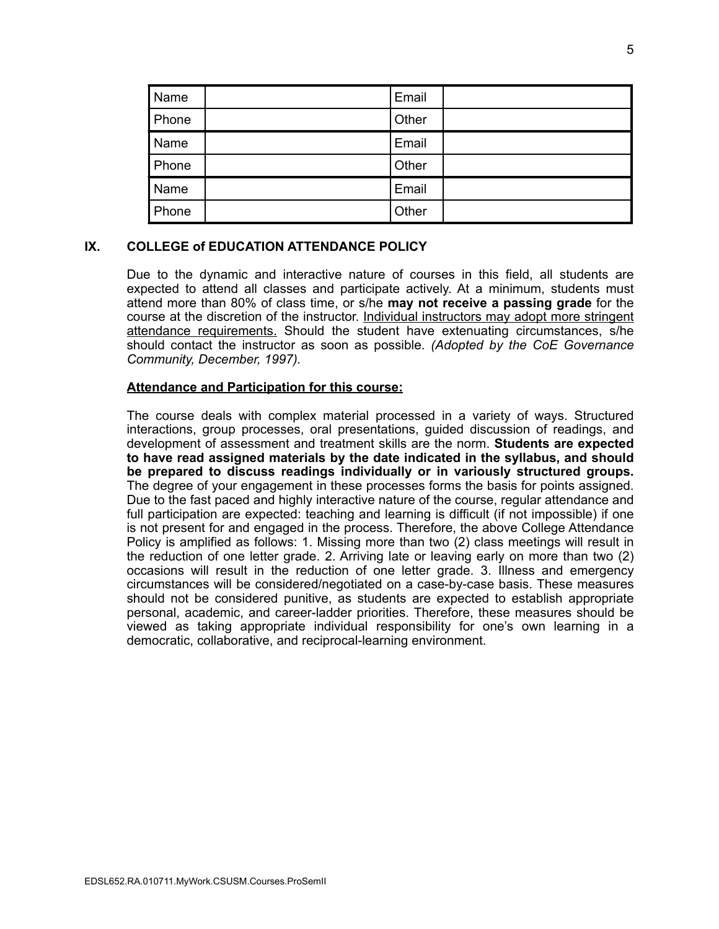| Name  | Email |  |
|-------|-------|--|
| Phone | Other |  |
| Name  | Email |  |
| Phone | Other |  |
| Name  | Email |  |
| Phone | Other |  |

# **IX. COLLEGE of EDUCATION ATTENDANCE POLICY**

Due to the dynamic and interactive nature of courses in this field, all students are expected to attend all classes and participate actively. At a minimum, students must attend more than 80% of class time, or s/he **may not receive a passing grade** for the course at the discretion of the instructor. Individual instructors may adopt more stringent attendance requirements. Should the student have extenuating circumstances, s/he should contact the instructor as soon as possible. *(Adopted by the CoE Governance Community, December, 1997).*

## **Attendance and Participation for this course:**

The course deals with complex material processed in a variety of ways. Structured interactions, group processes, oral presentations, guided discussion of readings, and development of assessment and treatment skills are the norm. **Students are expected to have read assigned materials by the date indicated in the syllabus, and should be prepared to discuss readings individually or in variously structured groups.** The degree of your engagement in these processes forms the basis for points assigned. Due to the fast paced and highly interactive nature of the course, regular attendance and full participation are expected: teaching and learning is difficult (if not impossible) if one is not present for and engaged in the process. Therefore, the above College Attendance Policy is amplified as follows: 1. Missing more than two (2) class meetings will result in the reduction of one letter grade. 2. Arriving late or leaving early on more than two (2) occasions will result in the reduction of one letter grade. 3. Illness and emergency circumstances will be considered/negotiated on a case-by-case basis. These measures should not be considered punitive, as students are expected to establish appropriate personal, academic, and career-ladder priorities. Therefore, these measures should be viewed as taking appropriate individual responsibility for one's own learning in a democratic, collaborative, and reciprocal-learning environment.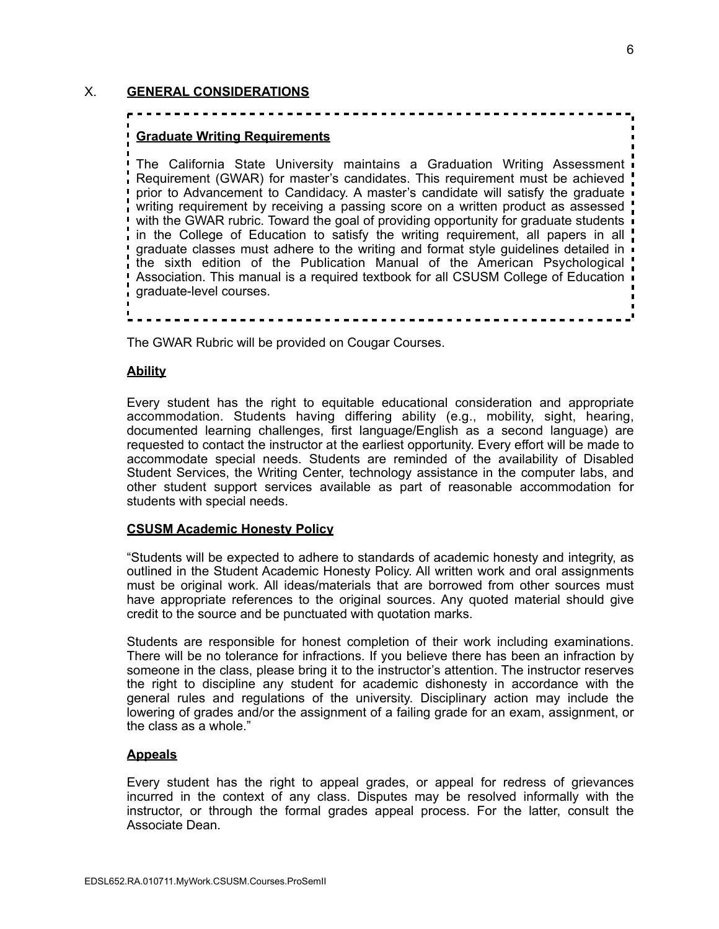# X. **GENERAL CONSIDERATIONS**

# **Graduate Writing Requirements**

The California State University maintains a Graduation Writing Assessment Requirement (GWAR) for master's candidates. This requirement must be achieved prior to Advancement to Candidacy. A master's candidate will satisfy the graduate writing requirement by receiving a passing score on a written product as assessed with the GWAR rubric. Toward the goal of providing opportunity for graduate students in the College of Education to satisfy the writing requirement, all papers in all graduate classes must adhere to the writing and format style guidelines detailed in the sixth edition of the Publication Manual of the American Psychological Association. This manual is a required textbook for all CSUSM College of Education graduate-level courses.

The GWAR Rubric will be provided on Cougar Courses.

## **Ability**

Every student has the right to equitable educational consideration and appropriate accommodation. Students having differing ability (e.g., mobility, sight, hearing, documented learning challenges, first language/English as a second language) are requested to contact the instructor at the earliest opportunity. Every effort will be made to accommodate special needs. Students are reminded of the availability of Disabled Student Services, the Writing Center, technology assistance in the computer labs, and other student support services available as part of reasonable accommodation for students with special needs.

#### **CSUSM Academic Honesty Policy**

"Students will be expected to adhere to standards of academic honesty and integrity, as outlined in the Student Academic Honesty Policy. All written work and oral assignments must be original work. All ideas/materials that are borrowed from other sources must have appropriate references to the original sources. Any quoted material should give credit to the source and be punctuated with quotation marks.

Students are responsible for honest completion of their work including examinations. There will be no tolerance for infractions. If you believe there has been an infraction by someone in the class, please bring it to the instructor's attention. The instructor reserves the right to discipline any student for academic dishonesty in accordance with the general rules and regulations of the university. Disciplinary action may include the lowering of grades and/or the assignment of a failing grade for an exam, assignment, or the class as a whole."

#### **Appeals**

Every student has the right to appeal grades, or appeal for redress of grievances incurred in the context of any class. Disputes may be resolved informally with the instructor, or through the formal grades appeal process. For the latter, consult the Associate Dean.